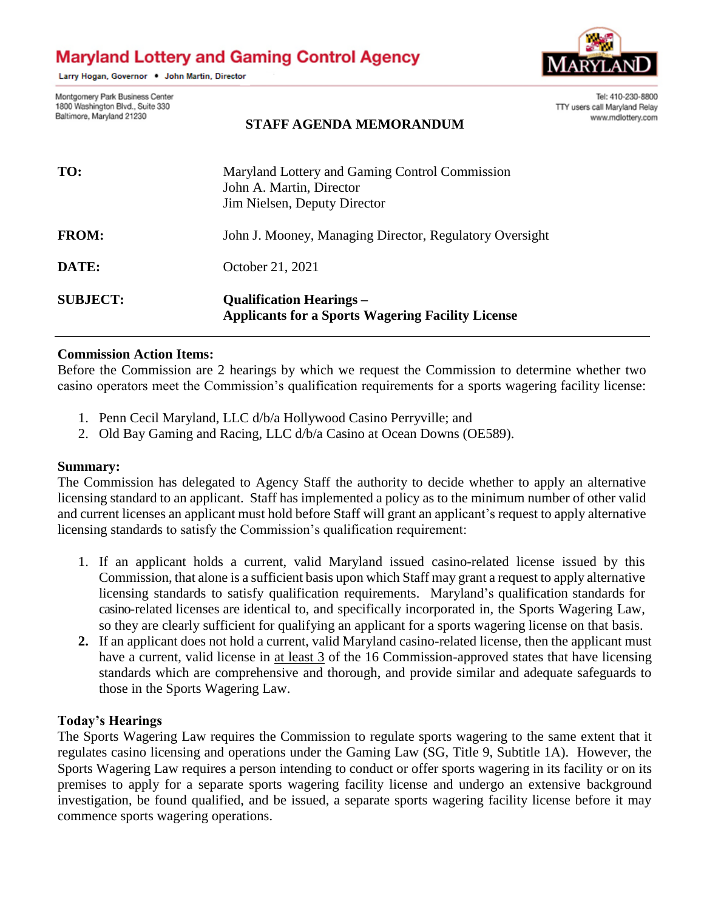# **Maryland Lottery and Gaming Control Agency**

Larry Hogan, Governor . John Martin, Director



Montgomery Park Business Center 1800 Washington Blvd., Suite 330 Baltimore, Maryland 21230

#### **STAFF AGENDA MEMORANDUM**

Tel: 410-230-8800 TTY users call Maryland Relay www.mdlottery.com

| TO:             | Maryland Lottery and Gaming Control Commission<br>John A. Martin, Director<br>Jim Nielsen, Deputy Director |
|-----------------|------------------------------------------------------------------------------------------------------------|
| <b>FROM:</b>    | John J. Mooney, Managing Director, Regulatory Oversight                                                    |
| DATE:           | October 21, 2021                                                                                           |
| <b>SUBJECT:</b> | <b>Oualification Hearings</b> –<br><b>Applicants for a Sports Wagering Facility License</b>                |

#### **Commission Action Items:**

Before the Commission are 2 hearings by which we request the Commission to determine whether two casino operators meet the Commission's qualification requirements for a sports wagering facility license:

- 1. Penn Cecil Maryland, LLC d/b/a Hollywood Casino Perryville; and
- 2. Old Bay Gaming and Racing, LLC d/b/a Casino at Ocean Downs (OE589).

## **Summary:**

The Commission has delegated to Agency Staff the authority to decide whether to apply an alternative licensing standard to an applicant. Staff has implemented a policy as to the minimum number of other valid and current licenses an applicant must hold before Staff will grant an applicant's request to apply alternative licensing standards to satisfy the Commission's qualification requirement:

- 1. If an applicant holds a current, valid Maryland issued casino-related license issued by this Commission, that alone is a sufficient basis upon which Staff may grant a request to apply alternative licensing standards to satisfy qualification requirements. Maryland's qualification standards for casino-related licenses are identical to, and specifically incorporated in, the Sports Wagering Law, so they are clearly sufficient for qualifying an applicant for a sports wagering license on that basis.
- **2.** If an applicant does not hold a current, valid Maryland casino-related license, then the applicant must have a current, valid license in at least 3 of the 16 Commission-approved states that have licensing standards which are comprehensive and thorough, and provide similar and adequate safeguards to those in the Sports Wagering Law.

## **Today's Hearings**

The Sports Wagering Law requires the Commission to regulate sports wagering to the same extent that it regulates casino licensing and operations under the Gaming Law (SG, Title 9, Subtitle 1A). However, the Sports Wagering Law requires a person intending to conduct or offer sports wagering in its facility or on its premises to apply for a separate sports wagering facility license and undergo an extensive background investigation, be found qualified, and be issued, a separate sports wagering facility license before it may commence sports wagering operations.